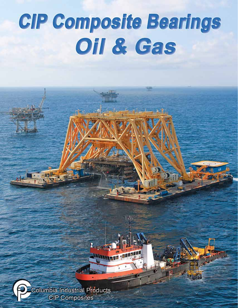# **CIP Composite Bearings** Oil & Gas

 $1.36$ Lead *<u>PARTICIPATION</u>* Columbia Industrial Products **CIP** Composites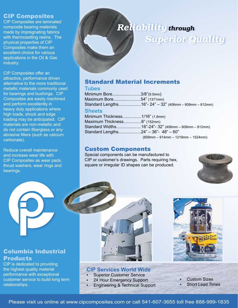## CIP Composites

CIP Composites are laminated composite bearing materials made by impregnating fabrics with thermosetting resins. The physical properties of CIP Composites make them an excellent choice for various applications in the Oil & Gas industry.

CIP Composites offer an attractive, performance driven alternative to the more traditional metallic materials commonly used for bearings and bushings. CIP Composites are easily machined and perform excellently in heavy duty applications where high loads, shock and edge loading may be anticipated. CIP materials are non-metallic and do not contain fiberglass or any abrasive fillers (such as calcium carbonate).

Reduce overall maintenance and increase wear life with CIP Composites as wear pads, thrust washers, wear rings and bearings.

# *Reliability through Superior Quality*

# Standard Material Increments

#### **Tubes**

Minimum Bore........................3/8"(9.5mm) Maximum Bore.......................54" (1371mm) Standard Lengths...................16"- 24" – 32" (406mm – 609mm – 812mm)

#### **Sheets**

Minimum Thickness................1/16" (1.6mm) Maximum Thickness...............6" (152mm) Standard Widths.....................16"-24"- 32" (406mm – 609mm – 812mm) Standard Lengths...................24" – 36"- 48" – 60"

(609mm – 914mm – 1219mm – 1524mm)

# Custom Components

Special components can be manufactured to CIP or customer's drawings. Parts requiring hex, square or irregular ID shapes can be produced.





#### **CIP Services World Wide**

- **Superior Customer Service** 
	- 24 Hour Emergency Support
- **Engineering & Technical Support**



**Custom Sizes** 

**Short Lead Times** 

Columbia Industrial **Products** 

CIP is dedicated to providing the highest quality material performance with exceptional customer service to build long term relationships.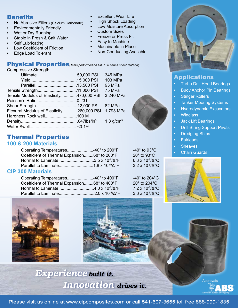# **Benefits**

- No Abrasive Fillers (Calcium Carbonate)
- **Environmentally Friendly**
- Wet or Dry Running
- Stable in Fresh & Salt Water
- **Self Lubricating**
- Low Coefficient of Friction
- **Edge Load Tolerant**

#### **Excellent Wear Life**

- **High Shock Loading**
- **Low Moisture Absorption**
- **Custom Sizes**
- **Freeze or Press Fit**
- Easy to Machine
- **Machinable in Place**
- **Non-Conducting Available**

Physical Properties*(Tests performed on CIP 100 series sheet material)* Compressive Strength

|                                           | 345 MPa     |  |
|-------------------------------------------|-------------|--|
|                                           | 103 MPa     |  |
|                                           | 93 MPa      |  |
|                                           | 75 MPa      |  |
| Tensile Modulus of Elasticity470,000 PSI  | 3,240 MPa   |  |
|                                           |             |  |
|                                           | 82 MPa      |  |
| Flexural Modulus of Elasticity260,000 PSI | 1,793 MPa   |  |
| Hardness Rock well100 M                   |             |  |
|                                           | 1.3 $g/cm3$ |  |
|                                           |             |  |
|                                           |             |  |

# Thermal Properties

## **100 & 200 Materials**

Operating Temperatures..........................40° to 200°F -40° to 93°C Coefficient of Thermal Expansion........68° to 200°F 20° to 93°C Normal to Laminate..............................3.5 x 10-5/Δ°F 6.3 x 10-5/Δ°C Parallel to Laminate.............................1.8 x 10-5/Δ°F 3.2 x 10-5/Δ°C

#### **CIP 300 Materials**

Operating Temperatures............................40° to 400°F -40° to 204°C Coefficient of Thermal Expansion........68° to 400°F 20° to 204°C Normal to Laminate..............................4.0 x 10-5/Δ°F 7.2 x 10-5/Δ°C Parallel to Laminate..............................2.0 x 10-5/Δ°F 3.6 x 10-5/Δ°C



# Applications

- **Turbo Drill Head Bearings**
- **Buoy Anchor Pin Bearings**
- **Stinger Rollers**
- **Tanker Mooring Systems**
- **Hydrodynamic Excavators**
- • Windlass
- **Jack Lift Bearings**
- **Drill String Support Pivots**
- **Dredging Ships**
- **Fairleads**
- **Sheaves**
- **Chain Guards**







*Experience built it. Innovation drives it.*

Approvals

Please visit us online at www.cipcomposites.com or call 541-607-3655 toll free 888-999-1835